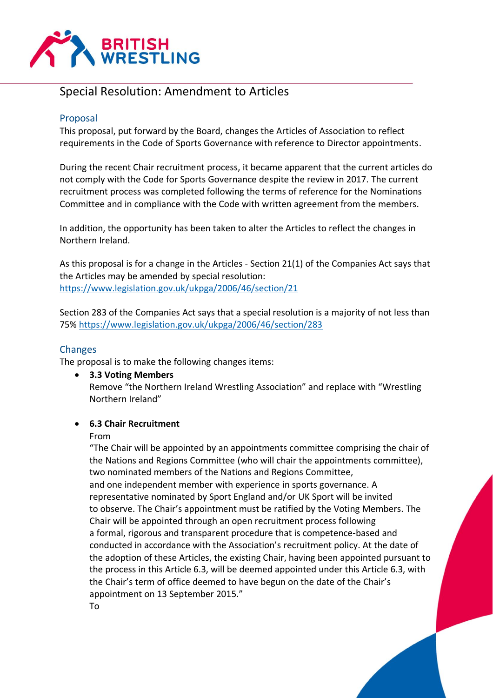

# Special Resolution: Amendment to Articles

## Proposal

This proposal, put forward by the Board, changes the Articles of Association to reflect requirements in the Code of Sports Governance with reference to Director appointments.

During the recent Chair recruitment process, it became apparent that the current articles do not comply with the Code for Sports Governance despite the review in 2017. The current recruitment process was completed following the terms of reference for the Nominations Committee and in compliance with the Code with written agreement from the members.

In addition, the opportunity has been taken to alter the Articles to reflect the changes in Northern Ireland.

As this proposal is for a change in the Articles - Section 21(1) of the Companies Act says that the Articles may be amended by special resolution: <https://www.legislation.gov.uk/ukpga/2006/46/section/21>

Section 283 of the Companies Act says that a special resolution is a majority of not less than 75%<https://www.legislation.gov.uk/ukpga/2006/46/section/283>

## **Changes**

The proposal is to make the following changes items:

• **3.3 Voting Members** Remove "the Northern Ireland Wrestling Association" and replace with "Wrestling Northern Ireland"

## • **6.3 Chair Recruitment**

#### From

"The Chair will be appointed by an appointments committee comprising the chair of the Nations and Regions Committee (who will chair the appointments committee), two nominated members of the Nations and Regions Committee,

and one independent member with experience in sports governance. A representative nominated by Sport England and/or UK Sport will be invited to observe. The Chair's appointment must be ratified by the Voting Members. The Chair will be appointed through an open recruitment process following a formal, rigorous and transparent procedure that is competence-based and conducted in accordance with the Association's recruitment policy. At the date of the adoption of these Articles, the existing Chair, having been appointed pursuant to the process in this Article 6.3, will be deemed appointed under this Article 6.3, with the Chair's term of office deemed to have begun on the date of the Chair's appointment on 13 September 2015." To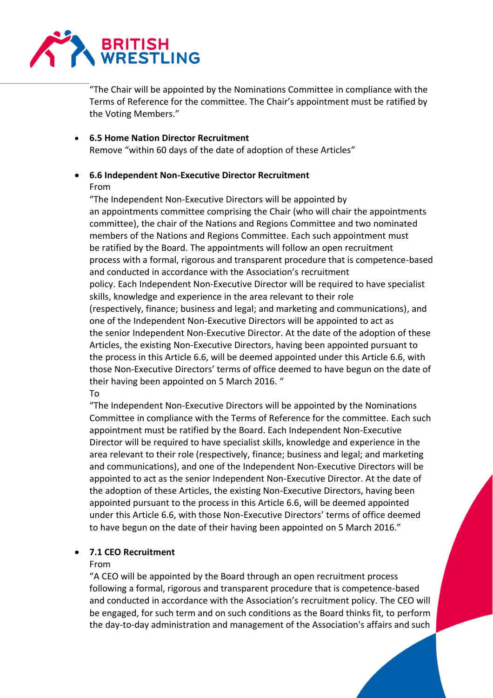

"The Chair will be appointed by the Nominations Committee in compliance with the Terms of Reference for the committee. The Chair's appointment must be ratified by the Voting Members."

• **6.5 Home Nation Director Recruitment** Remove "within 60 days of the date of adoption of these Articles"

### • **6.6 Independent Non-Executive Director Recruitment** From

"The Independent Non-Executive Directors will be appointed by an appointments committee comprising the Chair (who will chair the appointments committee), the chair of the Nations and Regions Committee and two nominated members of the Nations and Regions Committee. Each such appointment must be ratified by the Board. The appointments will follow an open recruitment process with a formal, rigorous and transparent procedure that is competence-based and conducted in accordance with the Association's recruitment policy. Each Independent Non-Executive Director will be required to have specialist skills, knowledge and experience in the area relevant to their role (respectively, finance; business and legal; and marketing and communications), and one of the Independent Non-Executive Directors will be appointed to act as the senior Independent Non-Executive Director. At the date of the adoption of these Articles, the existing Non-Executive Directors, having been appointed pursuant to the process in this Article 6.6, will be deemed appointed under this Article 6.6, with those Non-Executive Directors' terms of office deemed to have begun on the date of their having been appointed on 5 March 2016. " To

"The Independent Non-Executive Directors will be appointed by the Nominations Committee in compliance with the Terms of Reference for the committee. Each such appointment must be ratified by the Board. Each Independent Non-Executive Director will be required to have specialist skills, knowledge and experience in the area relevant to their role (respectively, finance; business and legal; and marketing and communications), and one of the Independent Non-Executive Directors will be appointed to act as the senior Independent Non-Executive Director. At the date of the adoption of these Articles, the existing Non-Executive Directors, having been appointed pursuant to the process in this Article 6.6, will be deemed appointed under this Article 6.6, with those Non-Executive Directors' terms of office deemed to have begun on the date of their having been appointed on 5 March 2016."

## • **7.1 CEO Recruitment**

## From

"A CEO will be appointed by the Board through an open recruitment process following a formal, rigorous and transparent procedure that is competence-based and conducted in accordance with the Association's recruitment policy. The CEO will be engaged, for such term and on such conditions as the Board thinks fit, to perform the day-to-day administration and management of the Association's affairs and such